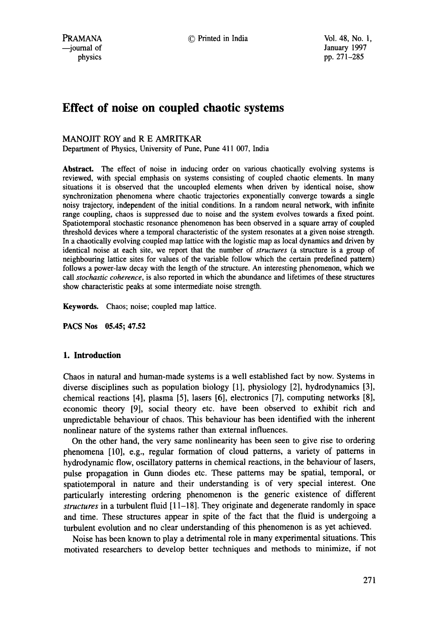# **Effect of noise on coupled chaotic systems**

## MANOJIT ROY and R E AMRITKAR

Department of Physics, University of Pune, Pune 411 007, India

**Abstract.** The effect of noise in inducing order on various chaotically evolving systems is reviewed, with special emphasis on systems consisting of coupled chaotic elements. In many situations it is observed that the uncoupled elements when driven by identical noise, show synchronization phenomena where chaotic trajectories exponentially converge towards a single noisy trajectory, independent of the initial conditions. In a random neural network, with infinite range coupling, chaos is suppressed due to noise and the system evolves towards a fixed point. Spatiotemporal stochastic resonance phenomenon has been observed in a square array of coupled threshold devices where a temporal characteristic of the system resonates at a given noise strength. In a chaotically evolving coupled map lattice with the logistic map as local dynamics and driven by identical noise at each site, we report that the number of *structures* (a structure is a group of neighbouring lattice sites for values of the variable follow which the certain predefined pattern) follows a power-law decay with the length of the structure. An interesting phenomenon, which we call *stochastic coherence,* is also reported in which the abundance and lifetimes of these structures show characteristic peaks at some intermediate noise strength.

Keywords. Chaos; noise; coupled map lattice.

**PACS Nos 05.45; 47.52** 

## I. Introduction

Chaos in natural and human-made systems is a well established fact by now. Systems in diverse disciplines such as population biology [1], physiology [2], hydrodynamics [3], chemical reactions [4], plasma [5], lasers [6], electronics [7], computing networks [8], economic theory [9], social theory etc. have been observed to exhibit rich and unpredictable behaviour of chaos. This behaviour has been identified with the inherent nonlinear nature of the systems rather than external influences.

On the other hand, the very same nonlinearity has been seen to give rise to ordering phenomena [10], e.g., regular formation of cloud patterns, a variety of patterns in hydrodynamic flow, oscillatory patterns in chemical reactions, in the behaviour of lasers, pulse propagation in Gunn diodes etc. These patterns may be Spatial, temporal, or spatiotemporal in nature and their understanding is of very special interest. One particularly interesting ordering phenomenon is the generic existence of different *structures* in a turbulent fluid [11-18]. They originate and degenerate randomly in space and time. These structures appear in spite of the fact that the fluid is undergoing a turbulent evolution and no clear understanding of this phenomenon is as yet achieved.

Noise has been known to play a detrimental role in many experimental situations. This motivated researchers to develop better techniques and methods to minimize, if not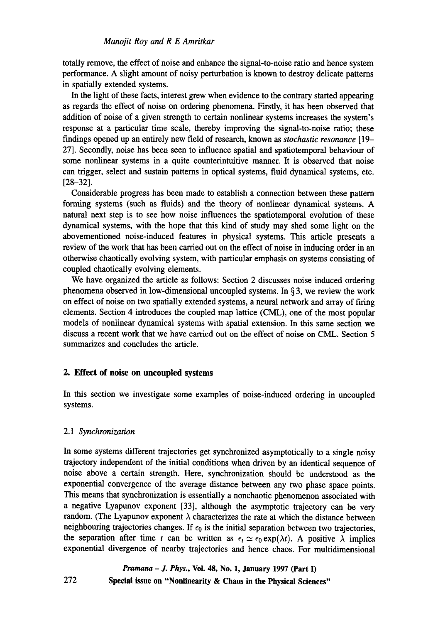totally remove, the effect of noise and enhance the signal-to-noise ratio and hence system performance. A slight amount of noisy perturbation is known to destroy delicate patterns in spatially extended systems.

In the light of these facts, interest grew when evidence to the contrary started appearing as regards the effect of noise on ordering phenomena. Firstly, it has been observed that addition of noise of a given strength to certain nonlinear systems increases the system's response at a particular time scale, thereby improving the signal-to-noise ratio; these findings opened up an entirely new field of research, known as *stochastic resonance* [ 19- 27]. Secondly, noise has been seen to influence spatial and spatiotemporal behaviour of some nonlinear systems in a quite counterintuitive manner. It is observed that noise can trigger, select and sustain patterns in optical systems, fluid dynamical systems, etc. [28-32].

Considerable progress has been made to establish a connection between these pattern forming systems (such as fluids) and the theory of nonlinear dynamical systems. A natural next step is to see how noise influences the spatiotemporal evolution of these dynamical systems, with the hope that this kind of study may shed some light on the abovementioned noise-induced features in physical systems. This article presents a review of the work that has been carried out on the effect of noise in inducing order in an otherwise chaotically evolving system, with particular emphasis on systems consisting of coupled chaotically evolving elements.

We have organized the article as follows: Section 2 discusses noise induced ordering phenomena observed in low-dimensional uncoupled systems. In § 3, we review the work on effect of noise on two spatially extended systems, a neural network and array of firing elements. Section 4 introduces the coupled map lattice (CML), one of the most popular models of nonlinear dynamical systems with spatial extension. In this same section we discuss a recent work that we have carried out on the effect of noise on CML. Section 5 summarizes and concludes the article.

#### **2. Effect of noise on uncoupled systems**

In this section we investigate some examples of noise-induced ordering in uncoupled systems.

#### 2.1 *Synchronization*

In some systems different trajectories get synchronized asymptotically to a single noisy trajectory independent of the initial conditions when driven by an identical sequence of noise above a certain strength. Here, synchronization should be understood as the exponential convergence of the average distance between any two phase space points. This means that synchronization is essentially a nonchaotic phenomenon associated with a negative Lyapunov exponent [33], although the asymptotic trajectory can be very random. (The Lyapunov exponent  $\lambda$  characterizes the rate at which the distance between neighbouring trajectories changes. If  $\epsilon_0$  is the initial separation between two trajectories, the separation after time t can be written as  $\epsilon_t \simeq \epsilon_0 \exp(\lambda t)$ . A positive  $\lambda$  implies exponential divergence of nearby trajectories and hence chaos. For multidimensional

272 *Pramana - J. Phys.,* **Vol. 48, No. 1, January 1997 (Part I) Special issue on "Nonlinearity & Chaos in the Physical Sciences"**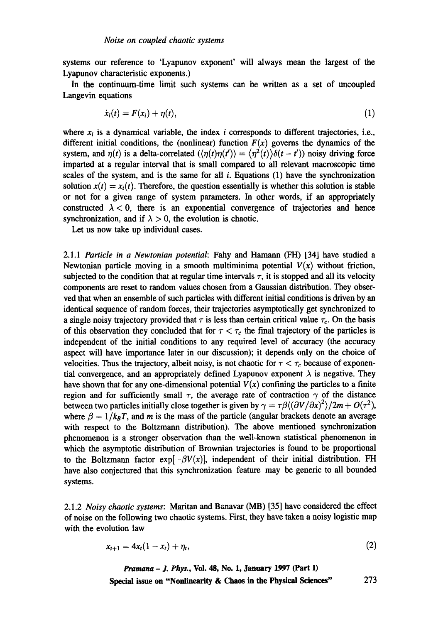systems our reference to 'Lyapunov exponent' will always mean the largest of the Lyapunov characteristic exponents.)

In the continuum-time limit such systems can be written as a set of uncoupled Langevin equations

$$
\dot{x}_i(t) = F(x_i) + \eta(t), \qquad (1)
$$

where  $x_i$  is a dynamical variable, the index i corresponds to different trajectories, i.e., different initial conditions, the (nonlinear) function  $F(x)$  governs the dynamics of the system, and  $\eta(t)$  is a delta-correlated  $(\langle \eta(t)\eta(t') \rangle = \langle \eta^2(t) \rangle \delta(t - t') )$  noisy driving force imparted at a regular interval that is small compared to all relevant macroscopic time scales of the system, and is the same for all  $i$ . Equations (1) have the synchronization solution  $x(t) = x_i(t)$ . Therefore, the question essentially is whether this solution is stable or not for a given range of system parameters. In other words, if an appropriately constructed  $\lambda < 0$ , there is an exponential convergence of trajectories and hence synchronization, and if  $\lambda > 0$ , the evolution is chaotic.

Let us now take up individual cases.

2.1.1 *Particle in a Newtonian potential:* Fahy and Hamann (FH) [34] have studied a Newtonian particle moving in a smooth multiminima potential  $V(x)$  without friction, subjected to the condition that at regular time intervals  $\tau$ , it is stopped and all its velocity components are reset to random values chosen from a Gaussian distribution. They observed that when an ensemble of such particles with different initial conditions is driven by an identical sequence of random forces, their trajectories asymptotically get synchronized to a single noisy trajectory provided that  $\tau$  is less than certain critical value  $\tau_c$ . On the basis of this observation they concluded that for  $\tau < \tau_c$  the final trajectory of the particles is independent of the initial conditions to any required level of accuracy (the accuracy aspect will have importance later in our discussion); it depends only on the choice of velocities. Thus the trajectory, albeit noisy, is not chaotic for  $\tau < \tau_c$  because of exponential convergence, and an appropriately defined Lyapunov exponent  $\lambda$  is negative. They have shown that for any one-dimensional potential  $V(x)$  confining the particles to a finite region and for sufficiently small  $\tau$ , the average rate of contraction  $\gamma$  of the distance between two particles initially close together is given by  $\gamma = \tau \beta \langle (\partial V/\partial x)^2 \rangle / 2m + O(\tau^2)$ , where  $\beta = 1/k_BT$ , and m is the mass of the particle (angular brackets denote an average with respect to the Boltzmann distribution). The above mentioned synchronization phenomenon is a stronger observation than the well-known statistical phenomenon in which the asymptotic distribution of Brownian trajectories is found to be proportional to the Boltzmann factor  $exp[-\beta V(x)]$ , independent of their initial distribution. FH have also conjectured that this synchronization feature may be generic to all bounded systems.

2.1.2 *Noisy chaotic systems:* Maritan and Banavar (MB) [35] have considered the effect of noise on the following two chaotic systems. First, they have taken a noisy logistic map with the evolution law

$$
x_{t+1} = 4x_t(1-x_t) + \eta_t, \tag{2}
$$

*Pramana - J. Phys.,* **Vol. 48, No. 1, January 1997 (Part I) Special issue on "Nonlinearity & Chaos in the Physical Sciences"** 273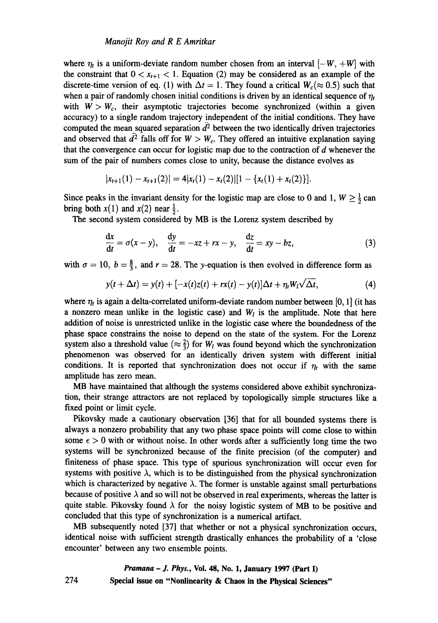where  $\eta_t$  is a uniform-deviate random number chosen from an interval  $[-W, +W]$  with the constraint that  $0 < x_{t+1} < 1$ . Equation (2) may be considered as an example of the discrete-time version of eq. (1) with  $\Delta t = 1$ . They found a critical  $W_c (\approx 0.5)$  such that when a pair of randomly chosen initial conditions is driven by an identical sequence of  $\eta_t$ with  $W > W_c$ , their asymptotic trajectories become synchronized (within a given accuracy) to a single random trajectory independent of the initial conditions. They have computed the mean squared separation  $d<sup>2</sup>$  between the two identically driven trajectories and observed that  $d^2$  falls off for  $W > W_c$ . They offered an intuitive explanation saying that the convergence can occur for logistic map due to the contraction of  $d$  whenever the sum of the pair of numbers comes close to unity, because the distance evolves as

$$
|x_{t+1}(1)-x_{t+1}(2)|=4|x_t(1)-x_t(2)|[1-\{x_t(1)+x_t(2)\}].
$$

Since peaks in the invariant density for the logistic map are close to 0 and 1,  $W \ge \frac{1}{2}$  can bring both  $x(1)$  and  $x(2)$  near  $\frac{1}{2}$ .

The second system considered by MB is the Lorenz system described by

$$
\frac{dx}{dt} = \sigma(x - y), \quad \frac{dy}{dt} = -xz + rx - y, \quad \frac{dz}{dt} = xy - bz,
$$
\n(3)

with  $\sigma = 10$ ,  $b = \frac{8}{3}$ , and  $r = 28$ . The y-equation is then evolved in difference form as

$$
y(t+\Delta t)=y(t)+[-x(t)z(t)+rx(t)-y(t)]\Delta t+\eta_tW_t\sqrt{\Delta t}, \qquad (4)
$$

where  $\eta_t$  is again a delta-correlated uniform-deviate random number between [0, 1] (it has a nonzero mean unlike in the logistic case) and  $W_l$  is the amplitude. Note that here addition of noise is unrestricted unlike in the logistic case where the boundedness of the phase space constrains the noise to depend on the state of the system. For the Lorenz system also a threshold value  $(\approx \frac{2}{3})$  for  $W_l$  was found beyond which the synchronization phenomenon was observed for an identically driven system with different initial conditions. It is reported that synchronization does not occur if  $\eta_t$  with the same amplitude has zero mean.

MB have maintained that although the systems considered above exhibit synchronization, their strange attractors are not replaced by topologically simple structures like a fixed point or limit cycle.

Pikovsky made a cautionary observation [36] that for all bounded systems there is always a nonzero probability that any two phase space points will come close to within some  $\epsilon > 0$  with or without noise. In other words after a sufficiently long time the two systems will be synchronized because of the finite precision (of the computer) and finiteness of phase space. This type of spurious synchronization will occur even for systems with positive  $\lambda$ , which is to be distinguished from the physical synchronization which is characterized by negative  $\lambda$ . The former is unstable against small perturbations because of positive  $\lambda$  and so will not be observed in real experiments, whereas the latter is quite stable. Pikovsky found  $\lambda$  for the noisy logistic system of MB to be positive and concluded that this type of synchronization is a numerical artifact.

MB subsequently noted [37] that whether or not a physical synchronization occurs, identical noise with sufficient strength drastically enhances the probability of a 'close encounter' between any two ensemble points.

*Pramana - J. Phys.,* **Vol. 48, No. 1, January 1997 (Part I) Special issue on "Nonlinearity & Chaos in the Physical Sciences"**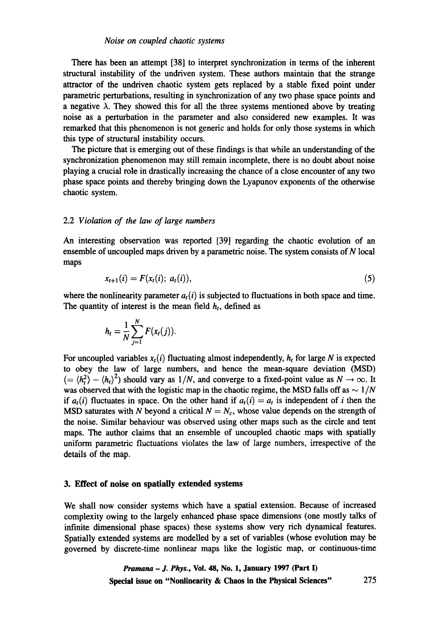There has been an attempt [38] to interpret synchronization in terms of the inherent structural instability of the undriven system. These authors maintain that the strange attractor of the undriven chaotic system gets replaced by a stable fixed point under parametric perturbations, resulting in synchronization of any two phase space points and a negative  $\lambda$ . They showed this for all the three systems mentioned above by treating noise as a perturbation in the parameter and also considered new examples. It was remarked that this phenomenon is not generic and holds for only those systems in which this type of structural instability occurs.

The picture that is emerging out of these findings is that while an understanding of the synchronization phenomenon may still remain incomplete, there is no doubt about noise playing a crucial role in drastically increasing the chance of a close encounter of any two phase space points and thereby bringing down the Lyapunov exponents of the otherwise chaotic system.

#### 2.2 *Violation of the law of large numbers*

An interesting observation was reported [39] regarding the chaotic evolution of an ensemble of uncoupled maps driven by a parametric noise. The system consists of N local maps

$$
x_{t+1}(i) = F(x_t(i); a_t(i)), \qquad (5)
$$

where the nonlinearity parameter  $a<sub>i</sub>(i)$  is subjected to fluctuations in both space and time. The quantity of interest is the mean field  $h_t$ , defined as

$$
h_t = \frac{1}{N} \sum_{j=1}^N F(x_t(j)).
$$

For uncoupled variables  $x_t(i)$  fluctuating almost independently,  $h_t$  for large N is expected to obey the law of large numbers, and hence the mean-square deviation (MSD)  $(=\langle h_i^2 \rangle - \langle h_i \rangle^2)$  should vary as  $1/N$ , and converge to a fixed-point value as  $N \to \infty$ . It was observed that with the logistic map in the chaotic regime, the MSD falls off as  $\sim 1/N$ if  $a_t(i)$  fluctuates in space. On the other hand if  $a_t(i) = a_t$  is independent of i then the MSD saturates with N beyond a critical  $N = N_c$ , whose value depends on the strength of the noise. Similar behaviour was observed using other maps such as the circle and tent maps. The author claims that an ensemble of uncoupled chaotic maps with spatially uniform parametric fluctuations violates the law of large numbers, irrespective of the details of the map.

## **3. Effect of noise on spatially extended systems**

We shall now consider systems which have a spatial extension. Because of increased complexity owing to the largely enhanced phase space dimensions (one mostly talks of infinite dimensional phase spaces) these systems show very rich dynamical features. Spatially extended systems are modelled by a set of variables (whose evolution may be governed by discrete-time nonlinear maps like the logistic map, or continuous-time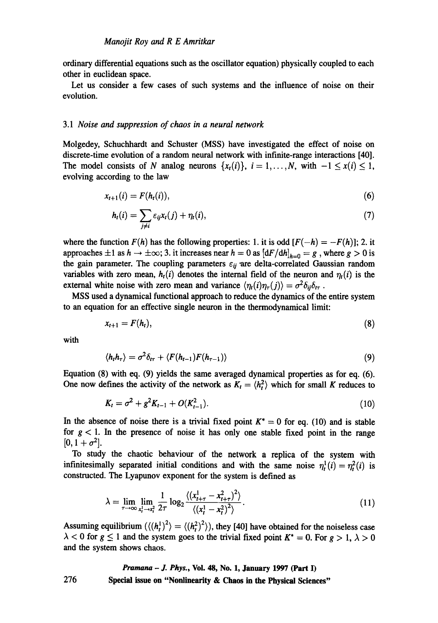ordinary differential equations such as the oscillator equation) physically coupled to each other in euclidean space.

Let us consider a few cases of such systems and the influence of noise on their evolution.

#### *3.1 Noise and suppression of chaos in a neural network*

Molgedey, Schuchhardt and Schuster (MSS) have investigated the effect of noise on discrete-time evolution of a random neural network with infinite-range interactions [40]. The model consists of N analog neurons  $\{x_i(i)\}\$ ,  $i=1,\ldots,N$ , with  $-1 \leq x(i) \leq 1$ , evolving according to the law

$$
x_{t+1}(i) = F(h_t(i)), \qquad (6)
$$

$$
h_t(i) = \sum_{j \neq i} \varepsilon_{ij} x_t(j) + \eta_t(i), \qquad (7)
$$

where the function  $F(h)$  has the following properties: 1. it is odd  $[F(-h) = -F(h)]$ ; 2. it approaches  $\pm 1$  as  $h \to \pm \infty$ ; 3. it increases near  $h = 0$  as  $\left[ \frac{dF}{dh} \right]_{h=0} = g$ , where  $g > 0$  is the gain parameter. The coupling parameters  $\varepsilon_{ij}$  are delta-correlated Gaussian random variables with zero mean,  $h_t(i)$  denotes the internal field of the neuron and  $\eta_t(i)$  is the external white noise with zero mean and variance  $\langle \eta_t(i)\eta_\tau(j)\rangle = \sigma^2 \delta_{ij}\delta_{tr}$ .

MSS used a dynamical functional approach to reduce the dynamics of the entire system to an equation for an effective single neuron in the thermodynamical limit:

$$
x_{t+1} = F(h_t), \tag{8}
$$

with

$$
\langle h_t h_\tau \rangle = \sigma^2 \delta_{t\tau} + \langle F(h_{t-1}) F(h_{\tau-1}) \rangle \tag{9}
$$

Equation (8) with eq. (9) yields the same averaged dynamical properties as for eq. (6). One now defines the activity of the network as  $K_t = \langle h_t^2 \rangle$  which for small K reduces to

$$
K_t = \sigma^2 + g^2 K_{t-1} + O(K_{t-1}^2). \tag{10}
$$

In the absence of noise there is a trivial fixed point  $K^* = 0$  for eq. (10) and is stable for  $g < 1$ . In the presence of noise it has only one stable fixed point in the range  $[0, 1 + \sigma^2]$ .

To study the chaotic behaviour of the network a replica of the system with infinitesimally separated initial conditions and with the same noise  $\eta_t^1(i) = \eta_t^2(i)$  is constructed. The Lyapunov exponent for the system is defined as

$$
\lambda = \lim_{\tau \to \infty} \lim_{x_i^1 \to x_i^2} \frac{1}{2\tau} \log_2 \frac{\langle (x_{t+\tau}^1 - x_{t+\tau}^2)^2 \rangle}{\langle (x_t^1 - x_t^2)^2 \rangle}.
$$
(11)

Assuming equilibrium  $(\langle (h_t^1)^2 \rangle = \langle (h_t^2)^2 \rangle)$ , they [40] have obtained for the noiseless case  $\lambda$  < 0 for  $g \le 1$  and the system goes to the trivial fixed point  $K^* = 0$ . For  $g > 1$ ,  $\lambda > 0$ and the system shows chaos.

## *Pramana - J. Phys.,* **Vol. 48, No. 1, January 1997 (Part I) Special issue on "Nonlinearity & Chaos in the Physical Sciences"**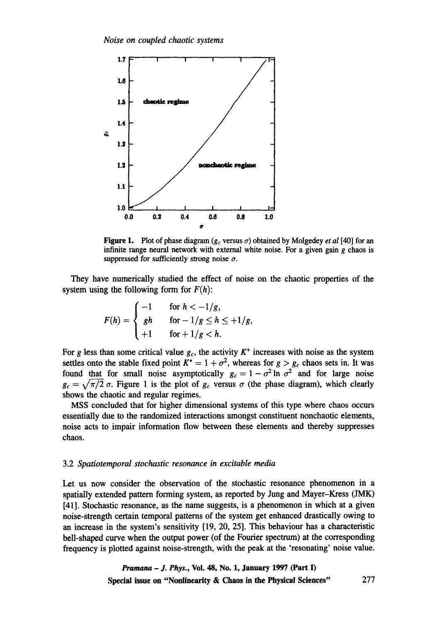

**Figure 1.** Plot of phase diagram  $(g_c$  versus  $\sigma$ ) obtained by Molgedey *et al* [40] for an infinite range neural network with external white noise. For a given gain g chaos is suppressed for sufficiently strong noise  $\sigma$ .

They have numerically studied the effect of noise on the chaotic properties of the system using the following form for  $F(h)$ :

$$
F(h) = \begin{cases} -1 & \text{for } h < -1/g, \\ gh & \text{for } -1/g \le h \le +1/g, \\ +1 & \text{for } +1/g < h. \end{cases}
$$

For g less than some critical value  $g_c$ , the activity  $K^*$  increases with noise as the system settles onto the stable fixed point  $K^* = 1 + \sigma^2$ , whereas for  $g > g_c$  chaos sets in. It was found that for small noise asymptotically  $g_c = 1 - \sigma^2 \ln \sigma^2$  and for large noise  $g_c = \sqrt{\pi/2} \sigma$ . Figure 1 is the plot of  $g_c$  versus  $\sigma$  (the phase diagram), which clearly shows the chaotic and regular regimes.

MSS concluded that for higher dimensional systems of this type where chaos occurs essentially due to the randomized interactions amongst constituent nonchaotic elements, noise acts to impair information flow between these elements and thereby suppresses chaos.

#### 3.2 *Spatiotemporal stochastic resonance in excitable media*

Let us now consider the observation of the stochastic resonance phenomenon in a spatially extended pattern forming system, as reported by Jung and Mayer-Kress (JMK) [41]. Stochastic resonance, as the name suggests, is a phenomenon in which at a given noise-strength certain temporal patterns of the system get enhanced drastically owing to an increase in the system's sensitivity [19, 20, 25]. This behaviour has a characteristic bell-shaped curve when the output power (of the Fourier spectrum) at the corresponding frequency is plotted against noise-strength, with the peak at the 'resonating' noise value.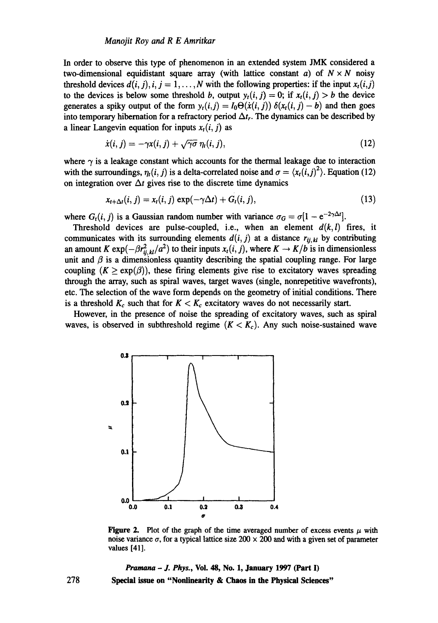#### *Manojit Roy and R E Amritkar*

In order to observe this type of phenomenon in an extended system JMK considered a two-dimensional equidistant square array (with lattice constant a) of  $N \times N$  noisy threshold devices  $d(i, j), i, j = 1, \ldots, N$  with the following properties: if the input  $x_i(i, j)$ to the devices is below some threshold b, output  $y_t(i, j) = 0$ ; if  $x_t(i, j) > b$  the device generates a spiky output of the form  $y_i(i,j) = I_0\Theta(\dot{x}(i,j)) \delta(x_i(i,j) - b)$  and then goes into temporary hibernation for a refractory period  $\Delta t_r$ . The dynamics can be described by a linear Langevin equation for inputs  $x_t(i, j)$  as

$$
\dot{x}(i,j) = -\gamma x(i,j) + \sqrt{\gamma \sigma} \eta_t(i,j), \qquad (12)
$$

where  $\gamma$  is a leakage constant which accounts for the thermal leakage due to interaction with the surroundings,  $\eta_i(i, j)$  is a delta-correlated noise and  $\sigma = \langle x_i(i, j)^2 \rangle$ . Equation (12) on integration over  $\Delta t$  gives rise to the discrete time dynamics

$$
x_{t+\Delta t}(i,j) = x_t(i,j) \exp(-\gamma \Delta t) + G_t(i,j), \qquad (13)
$$

where  $G_t(i, j)$  is a Gaussian random number with variance  $\sigma_G = \sigma[1 - e^{-2\gamma \Delta t}]$ .

Threshold devices are pulse-coupled, i.e., when an element  $d(k, l)$  fires, it communicates with its surrounding elements  $d(i, j)$  at a distance  $r_{ij, kl}$  by contributing an amount *K* exp( $-\beta r_{ij,kl}^2/a^2$ ) to their inputs  $x_i(i, j)$ , where  $K \rightarrow K/b$  is in dimensionless unit and  $\beta$  is a dimensionless quantity describing the spatial coupling range. For large coupling  $(K \geq \exp(\beta))$ , these firing elements give rise to excitatory waves spreading through the array, such as spiral waves, target waves (single, nonrepetitive wavefronts), etc. The selection of the wave form depends on the geometry of initial conditions. There is a threshold  $K_c$  such that for  $K < K_c$  excitatory waves do not necessarily start.

However, in the presence of noise the spreading of excitatory waves, such as spiral waves, is observed in subthreshold regime  $(K < K_c)$ . Any such noise-sustained wave



Figure 2. Plot of the graph of the time averaged number of excess events  $\mu$  with noise variance  $\sigma$ , for a typical lattice size 200  $\times$  200 and with a given set of parameter values [41].

*Pramana - J. Phys.,* **Vol. 48, No. 1, January 1997 (Part I) Special issue on "Nonlinearity & Chaos in the Physical Sciences"**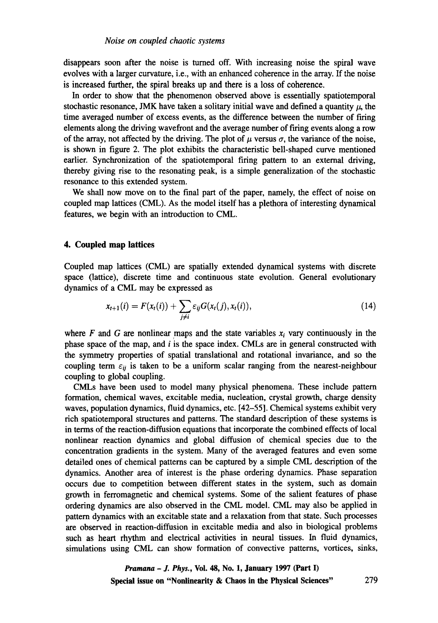disappears soon after the noise is turned off. With increasing noise the spiral wave evolves with a larger curvature, i.e., with an enhanced coherence in the array. If the noise is increased further, the spiral breaks up and there is a loss of coherence.

In order to show that the phenomenon observed above is essentially spatiotemporal stochastic resonance, JMK have taken a solitary initial wave and defined a quantity  $\mu$ , the time averaged number of excess events, as the difference between the number of firing elements along the driving wavefront and the average number of firing events along a row of the array, not affected by the driving. The plot of  $\mu$  versus  $\sigma$ , the variance of the noise, is shown in figure 2. The plot exhibits the characteristic bell-shaped curve mentioned earlier. Synchronization of the spatiotemporal firing pattern to an external driving, thereby giving rise to the resonating peak, is a simple generalization of the stochastic resonance to this extended system.

We shall now move on to the final part of the paper, namely, the effect of noise on coupled map lattices (CML). As the model itself has a plethora of interesting dynamical features, we begin with an introduction to CML.

## **4. Coupled map lattices**

Coupled map lattices (CML) are spatially extended dynamical systems with discrete space (lattice), discrete time and continuous state evolution. General evolutionary dynamics of a CML may be expressed as

$$
x_{t+1}(i) = F(x_t(i)) + \sum_{j \neq i} \varepsilon_{ij} G(x_t(j), x_t(i)), \qquad (14)
$$

where F and G are nonlinear maps and the state variables  $x_i$  vary continuously in the phase space of the map, and  $i$  is the space index. CMLs are in general constructed with the symmetry properties of spatial translational and rotational invariance, and so the coupling term  $\varepsilon_{ij}$  is taken to be a uniform scalar ranging from the nearest-neighbour coupling to global coupling.

CMLs have been used to model many physical phenomena. These include pattern formation, chemical waves, excitable media, nucleation, crystal growth, charge density waves, population dynamics, fluid dynamics, etc. [42-55]. Chemical systems exhibit very rich spatiotemporal structures and patterns. The standard description of these systems is in terms of the reaction-diffusion equations that incorporate the combined effects of local nonlinear reaction dynamics and global diffusion of chemical species due to the concentration gradients in the system. Many of the averaged features and even some detailed ones of chemical patterns can be captured by a simple CML description of the dynamics. Another area of interest is the phase ordering dynamics. Phase separation occurs due to competition between different states in the system, such as domain growth in ferromagnetic and chemical systems. Some of the salient features of phase ordering dynamics are also observed in the CML model. CML may also be applied in pattern dynamics with an excitable state and a relaxation from that state. Such processes are observed in reaction-diffusion in excitable media and also in biological problems such as heart rhythm and electrical activities in neural tissues. In fluid dynamics, simulations using CML can show formation of convective patterns, vortices, sinks,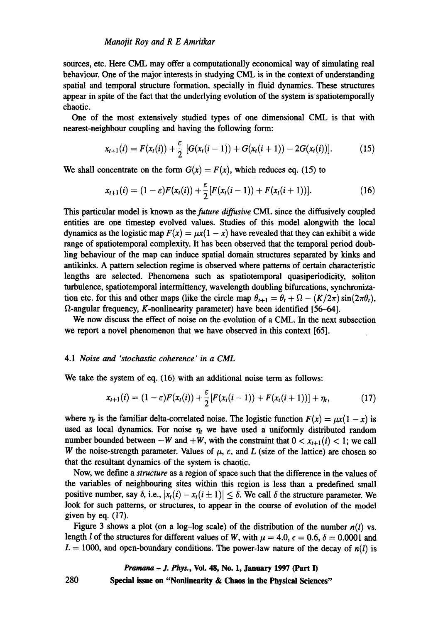#### *Manofit Roy and R E Amritkar*

sources, etc. Here CML may offer a computationally economical way of simulating real behaviour. One of the major interests in studying CML is in the context of understanding spatial and temporal structure formation, specially in fluid dynamics. These structures appear in spite of the fact that the underlying evolution of the system is spatiotemporally chaotic.

One of the most extensively studied types of one dimensional CML is that with nearest-neighbour coupling and having the following form:

$$
x_{t+1}(i) = F(x_t(i)) + \frac{\varepsilon}{2} \left[ G(x_t(i-1)) + G(x_t(i+1)) - 2G(x_t(i)) \right]. \tag{15}
$$

We shall concentrate on the form  $G(x) = F(x)$ , which reduces eq. (15) to

$$
x_{t+1}(i) = (1 - \varepsilon)F(x_t(i)) + \frac{\varepsilon}{2}[F(x_t(i-1)) + F(x_t(i+1))].
$$
\n(16)

This particular model is known as the *future diffusive* CML since the diffusively coupled entities are one timestep evolved values. Studies of this model alongwith the local dynamics as the logistic map  $F(x) = \mu x(1 - x)$  have revealed that they can exhibit a wide range of spatiotemporal complexity. It has been observed that the temporal period doubling behaviour of the map can induce spatial domain structures separated by kinks and antikinks. A pattern selection regime is observed where patterns of certain characteristic lengths are selected. Phenomena such as spatiotemporal quasiperiodicity, soliton turbulence, spatiotemporal intermittency, wavelength doubling bifurcations, synchronization etc. for this and other maps (like the circle map  $\theta_{t+1} = \theta_t + \Omega - (K/2\pi) \sin(2\pi\theta_t)$ ,  $\Omega$ -angular frequency, K-nonlinearity parameter) have been identified [56-64].

We now discuss the effect of noise on the evolution of a CML. In the next subsection we report a novel phenomenon that we have observed in this context [65].

#### 4.1 *Noise and 'stochastic coherence' in a CML*

We take the system of eq. (16) with an additional noise term as follows:

$$
x_{t+1}(i) = (1 - \varepsilon)F(x_t(i)) + \frac{\varepsilon}{2}[F(x_t(i-1)) + F(x_t(i+1))] + \eta_t,
$$
 (17)

where  $\eta_t$  is the familiar delta-correlated noise. The logistic function  $F(x) = \mu x(1 - x)$  is used as local dynamics. For noise  $\eta_t$  we have used a uniformly distributed random number bounded between  $-W$  and  $+W$ , with the constraint that  $0 < x_{t+1}(i) < 1$ ; we call W the noise-strength parameter. Values of  $\mu$ ,  $\varepsilon$ , and L (size of the lattice) are chosen so that the resultant dynamics of the system is chaotic.

Now, we define a *structure* as a region of space such that the difference in the values of the variables of neighbouring sites within this region is less than a predefined small positive number, say  $\delta$ , i.e.,  $|x_i(i) - x_i(i \pm 1)| \leq \delta$ . We call  $\delta$  the structure parameter. We **look** for such patterns, or structures, to appear in the course of evolution of the model given by eq. (17).

Figure 3 shows a plot (on a  $log-log$  scale) of the distribution of the number  $n(l)$  vs. length l of the structures for different values of W, with  $\mu = 4.0$ ,  $\epsilon = 0.6$ ,  $\delta = 0.0001$  and  $L = 1000$ , and open-boundary conditions. The power-law nature of the decay of  $n(l)$  is

## *Pramana - J. Phys.,* **Vol. 48, No. 1, January 1997 (Part I)**

**Special issue on "Nonlinearity & Chaos in the Physical Sciences"**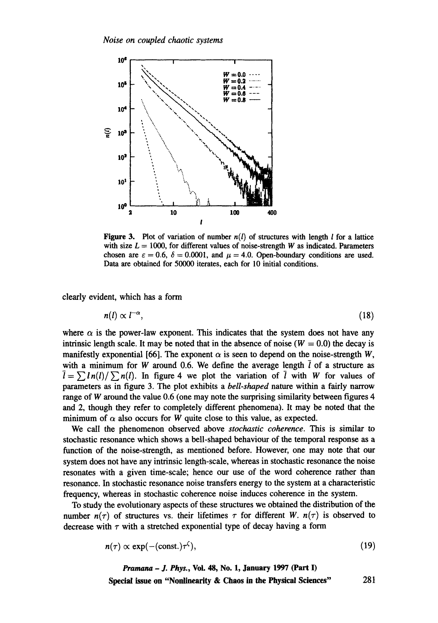

**Figure 3.** Plot of variation of number  $n(l)$  of structures with length l for a lattice with size  $L = 1000$ , for different values of noise-strength W as indicated. Parameters chosen are  $\varepsilon = 0.6$ ,  $\delta = 0.0001$ , and  $\mu = 4.0$ . Open-boundary conditions are used. Data are obtained for 50000 iterates, each for 10 initial conditions.

clearly evident, which has a form

$$
n(l) \propto l^{-\alpha},\tag{18}
$$

where  $\alpha$  is the power-law exponent. This indicates that the system does not have any intrinsic length scale. It may be noted that in the absence of noise ( $W = 0.0$ ) the decay is manifestly exponential [66]. The exponent  $\alpha$  is seen to depend on the noise-strength W, with a minimum for W around 0.6. We define the average length  $\overline{l}$  of a structure as  $\bar{l} = \sum ln(l) / \sum n(l)$ . In figure 4 we plot the variation of  $\bar{l}$  with W for values of parameters as in figure 3. The plot exhibits a *bell-shaped* nature within a fairly narrow range of W around the value 0.6 (one may note the surprising similarity between figures 4 and 2, though they refer to completely different phenomena). It may be noted that the minimum of  $\alpha$  also occurs for W quite close to this value, as expected.

We call the phenomenon observed above *stochastic coherence.* This is similar to stochastic resonance which shows a bell-shaped behaviour of the temporal response as a function of the noise-strength, as mentioned before. However, one may note that our system does not have any intrinsic length-scale, whereas in stochastic resonance the noise resonates with a given time-scale; hence our use of the word coherence rather than resonance. In stochastic resonance noise transfers energy to the system at a characteristic frequency, whereas in stochastic coherence noise induces coherence in the system.

To study the evolutionary aspects of these structures we obtained the distribution of the number  $n(\tau)$  of structures vs. their lifetimes  $\tau$  for different W.  $n(\tau)$  is observed to decrease with  $\tau$  with a stretched exponential type of decay having a form

$$
n(\tau) \propto \exp(-(const.)\tau^{\zeta}), \qquad (19)
$$

*Pramana - J. Phys.,* **Voi. 48, No. 1, January 1997 (Part I) Special issue on "NonLinearity & Chaos in the Physical Sciences"** 281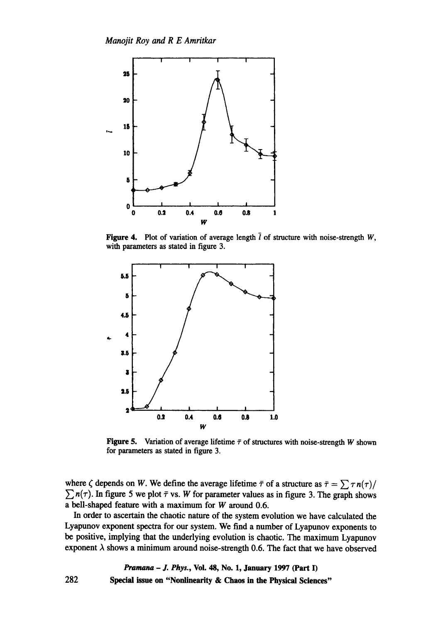

Figure 4. Plot of variation of average length  $\overline{l}$  of structure with noise-strength W, with parameters as stated in figure 3.



Figure 5. Variation of average lifetime  $\bar{\tau}$  of structures with noise-strength W shown for parameters as stated in figure 3.

where  $\zeta$  depends on W. We define the average lifetime  $\bar{\tau}$  of a structure as  $\bar{\tau} = \sum \tau n(\tau) / \sqrt{\frac{\tau^2}{n}}$  $\sum n(\tau)$ . In figure 5 we plot  $\bar{\tau}$  vs. W for parameter values as in figure 3. The graph shows a bell-shaped feature with a maximum for W around 0.6.

In order to ascertain the chaotic nature of the system evolution we have calculated the Lyapunov exponent spectra for our system. We find a number of Lyapunov exponents to be positive, implying that the underlying evolution is chaotic. The maximum Lyapunov exponent  $\lambda$  shows a minimum around noise-strength 0.6. The fact that we have observed

> *Pramana - J. Phys.,* Vol. 48, No. 1, January 1997 (Part I) Special issue on "Nonlinearity & Chaos in the Physical Sciences"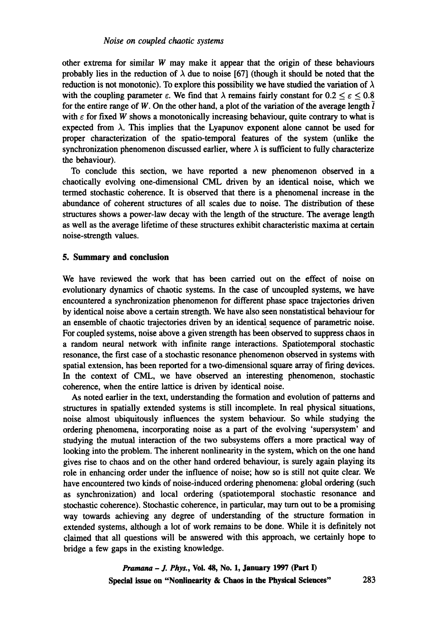other extrema for similar W may make it appear that the origin of these behaviours probably lies in the reduction of  $\lambda$  due to noise [67] (though it should be noted that the reduction is not monotonic). To explore this possibility we have studied the variation of  $\lambda$ with the coupling parameter  $\varepsilon$ . We find that  $\lambda$  remains fairly constant for  $0.2 < \varepsilon < 0.8$ for the entire range of W. On the other hand, a plot of the variation of the average length  $\overline{l}$ with  $\varepsilon$  for fixed W shows a monotonically increasing behaviour, quite contrary to what is expected from  $\lambda$ . This implies that the Lyapunov exponent alone cannot be used for proper characterization of the spatio-temporal features of the system (unlike the synchronization phenomenon discussed earlier, where  $\lambda$  is sufficient to fully characterize the behaviour).

To conclude this section, we have reported a new phenomenon observed in a chaotically evolving one-dimensional CML driven by an identical noise, which we termed stochastic coherence. It is observed that there is a phenomenal increase in the abundance of coherent structures of all scales due to noise. The distribution of these structures shows a power-law decay with the length of the structure. The average length as well as the average lifetime of these structures exhibit characteristic maxima at certain noise-strength values.

## **5. Summary and conclusion**

We have reviewed the work that has been carried out on the effect of noise on evolutionary dynamics of chaotic systems. In the case of uncoupled systems, we have encountered a synchronization phenomenon for different phase space trajectories driven by identical noise above a certain strength. We have also seen nonstatistical behaviour for an ensemble of chaotic trajectories driven by an identical sequence of parametric noise. For coupled systems, noise above a given strength has been observed to suppress chaos in a random neural network with infinite range interactions. Spatiotemporal stochastic resonance, the first case of a stochastic resonance phenomenon observed in systems with spatial extension, has been reported for a two-dimensional square array of firing devices. In the context of CML, we have observed an interesting phenomenon, stochastic coherence, when the entire lattice is driven by identical noise.

As noted earlier in the text, understanding the formation and evolution of patterns and structures in spatially extended systems is still incomplete. In real physical situations, noise almost ubiquitously influences the system behaviour. So while studying the ordering phenomena, incorporating noise as a part of the evolving 'supersystem' and studying the mutual interaction of the two subsystems offers a more practical way of looking into the problem. The inherent nonlinearity in the system, which on the one hand gives rise to chaos and on the other hand ordered behaviour, is surely again playing its role in enhancing order under the influence of noise; how so is still not quite clear. We have encountered two kinds of noise-induced ordering phenomena: global ordering (such as synchronization) and local ordering (spatiotemporal stochastic resonance and stochastic coherence). Stochastic coherence, in particular, may turn out to be a promising way towards achieving any degree of understanding of the structure formation in extended systems, although a lot of work remains to be done. While it is definitely not claimed that all questions will be answered with this approach, we certainly hope to bridge a few gaps in the existing knowledge.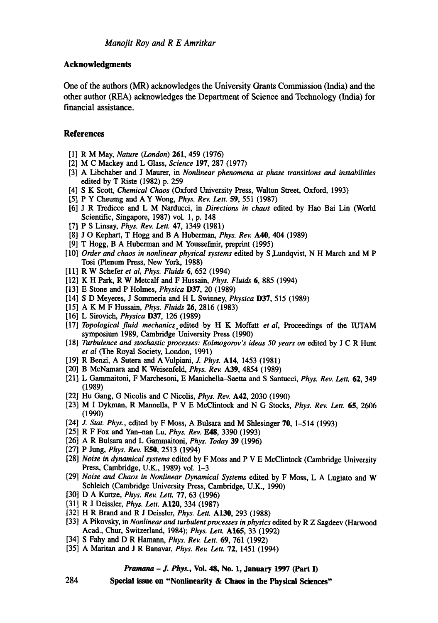#### **Acknowledgments**

One of the authors (MR) acknowledges the University Grants Commission (India) and the other author (REA) acknowledges the Department of Science and Technology (India) for financial assistance.

## **References**

- [1] R M May, *Nature* (London) 261, 459 (1976)
- [2] M C Mackey and L Glass, *Science* 197, 287 (1977)
- [3] A Libchaber and J Maurer, in *Nonlinear phenomena at phase transitions and instabilities*  edited by T Riste (1982) p. 259
- [4] S K Scott, *Chemical Chaos* (Oxford University Press, Walton Street, Oxford, 1993)
- [5] P Y Cheumg and AY Wong, *Phys. Rev. Lett.* 59, 551 (1987)
- [6] J R Tredicce and L M Narducci, in *Directions in chaos* edited by Hao Bai Lin (World Scientific, Singapore, 1987) vol. 1, p. 148
- [7] P S Linsay, *Phys. Rev. Lett.* 47, 1349 (1981)
- [8] J O Kephart, T Hogg and B A Huberman, *Phys. Rev.* A40, 404 (1989)
- [9] T Hogg, B A Huberman and M Youssefmir, preprint (1995)
- [10] *Order and chaos in nonlinear physical systems* edited by S Lundqvist, N H March and M P Tosi (Plenum Press, New York, 1988)
- [11] R W Schefer *et al, Phys. Fluids* 6, 652 (1994)
- [12] K H Park, R W Metcalf and F Hussain, *Phys. Fluids* 6, 885 (1994)
- [13] E Stone and P Holmes, *Physica* D37, 20 (1989)
- [14] S D Meyeres, J Sommeria and H L Swinney, *Physica* D37, 515 (1989)
- [15] A K M F Hussain, *Phys. Fluids 26,* 2816 (1983)
- [16] L Sirovich, *Physica* D37, 126 (1989)
- [17] *Topological fluid mechanics* edited by H K Moffatt *et al*, Proceedings of the IUTAM symposium 1989, Cambridge University Press (1990)
- [ 18] *Turbulence and stochastic processes: Kolmogorov's ideas 50 years on* edited by J C R Hunt *et al (The* Royal Society, London, 1991)
- [19] R Benzi, A Sutera and AVulpiani, J. *Phys.* A14, 1453 (1981)
- [20] B McNamara and K Weisenfeld, *Phys. Rev.* A39, 4854 (1989)
- [21] L Gammaitoni, F Marchesoni, E Manichella-Saetta and S Santucci, *Phys. Rev. Lett.* 62, 349 (1989)
- [22] Hu Gang, G Nicolis and C Nicolis, *Phys. Rev.* A42, 2030 (1990)
- [23] M I Dykman, R Mannella, P V E McClintock and N G Stocks, *Phys. Rev. Lett.* 65, 2606 (1990)
- [24] J. *Stat. Phys.,* edited by F Moss, A Bulsara and M Shlesinger 70, 1-514 (1993)
- [25] R F Fox and Yan-nan Lu, *Phys. Rev. E48,* 3390 (1993)
- [26] A R Bulsara and L Gammaitoni, *Phys. Today* 39 (1996)
- [27] P Jung, *Phys. Rev.* ES0, 2513 (1994)
- [28] *Noise in dynamical systems* edited by F Moss and P V E McClintock (Cambridge University Press, Cambridge, U.K., 1989) vol. 1-3
- [29] *Noise and Chaos in Nonlinear Dynamical Systems* edited by F Moss, L A Lugiato and W Schleich (Cambridge University Press, Cambridge, U.K., 1990)
- [30] D A Kurtze, *Phys. Rev. Lett.* 77, 63 (1996)
- [31] R J Deissler, *Phys. Lett.* A120, 334 (1987)
- [32] H R Brand and R J Deissler, *Phys. Lett.* A130, 293 (1988)
- [33] A Pikovsky, in *Nonlinear and turbulent processes in physics* edited by R Z Sagdeev (Harwood Acad., Chur, Switzerland, 1984); *Phys. Lett.* A165, 33 (1992)
- [34] S Fahy and D R Hamann, *Phys. Rev. Lett.* 69, 761 (1992)
- [35] A Maritan and J R Banavar, *Phys. Rev. Lett.* 72, 1451 (1994)

#### *Pramana - J. Phys.,* **Voi. 48, No. 1, January 1997 (Part I)**

284

**Special issue on "Nonlinearity & Chaos in the Physical Sciences"**